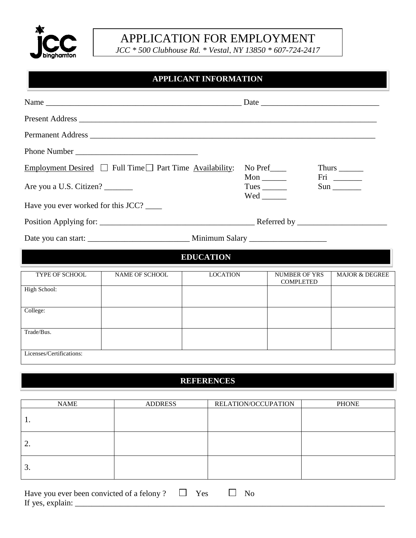

## APPLICATION FOR EMPLOYMENT

*JCC \* 500 Clubhouse Rd. \* Vestal, NY 13850 \* 607-724-2417*

## **APPLICANT INFORMATION**

| Employment Desired $\Box$ Full Time $\Box$ Part Time Availability:<br>Are you a U.S. Citizen? |                       |                 | No Pref____<br>$Mon$ <sub>_______</sub><br>Tues $\_\_\_\_\_\_\_\_\$ |                                          | Thurs $\_\_$<br>Fri ________<br>$Sun$ <sub>__________</sub> |  |  |
|-----------------------------------------------------------------------------------------------|-----------------------|-----------------|---------------------------------------------------------------------|------------------------------------------|-------------------------------------------------------------|--|--|
| Have you ever worked for this JCC?                                                            |                       |                 |                                                                     |                                          |                                                             |  |  |
|                                                                                               |                       |                 |                                                                     |                                          |                                                             |  |  |
|                                                                                               |                       |                 |                                                                     |                                          |                                                             |  |  |
| <b>EDUCATION</b>                                                                              |                       |                 |                                                                     |                                          |                                                             |  |  |
| <b>TYPE OF SCHOOL</b>                                                                         | <b>NAME OF SCHOOL</b> | <b>LOCATION</b> |                                                                     | <b>NUMBER OF YRS</b><br><b>COMPLETED</b> | <b>MAJOR &amp; DEGREE</b>                                   |  |  |
| High School:                                                                                  |                       |                 |                                                                     |                                          |                                                             |  |  |
| College:                                                                                      |                       |                 |                                                                     |                                          |                                                             |  |  |
| Trade/Bus.                                                                                    |                       |                 |                                                                     |                                          |                                                             |  |  |
| Licenses/Certifications:                                                                      |                       |                 |                                                                     |                                          |                                                             |  |  |

## **REFERENCES**

| <b>NAME</b>     | <b>ADDRESS</b> | RELATION/OCCUPATION | <b>PHONE</b> |
|-----------------|----------------|---------------------|--------------|
|                 |                |                     |              |
| 2.              |                |                     |              |
| $\mathfrak{I}.$ |                |                     |              |

| Hav<br>vou ever<br>∵neen ⊾<br>convicted.<br>чопу- |  |  |
|---------------------------------------------------|--|--|
| If yes.                                           |  |  |